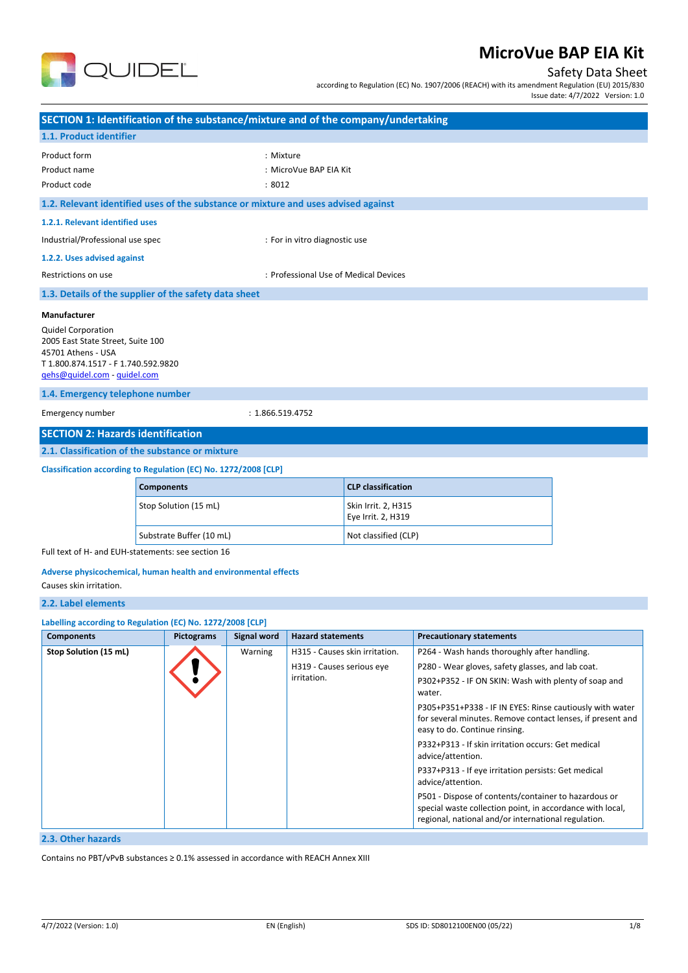

Safety Data Sheet

according to Regulation (EC) No. 1907/2006 (REACH) with its amendment Regulation (EU) 2015/830

|  |  | Issue date: 4/7/2022 Version: 1.0 |  |
|--|--|-----------------------------------|--|
|  |  |                                   |  |

| SECTION 1: Identification of the substance/mixture and of the company/undertaking  |                   |                          |                    |                                          |                                           |                                                                                                                  |  |  |
|------------------------------------------------------------------------------------|-------------------|--------------------------|--------------------|------------------------------------------|-------------------------------------------|------------------------------------------------------------------------------------------------------------------|--|--|
| 1.1. Product identifier                                                            |                   |                          |                    |                                          |                                           |                                                                                                                  |  |  |
| Product form                                                                       |                   |                          | : Mixture          |                                          |                                           |                                                                                                                  |  |  |
| Product name                                                                       |                   |                          |                    | : MicroVue BAP EIA Kit                   |                                           |                                                                                                                  |  |  |
| Product code                                                                       |                   |                          | :8012              |                                          |                                           |                                                                                                                  |  |  |
| 1.2. Relevant identified uses of the substance or mixture and uses advised against |                   |                          |                    |                                          |                                           |                                                                                                                  |  |  |
| 1.2.1. Relevant identified uses                                                    |                   |                          |                    |                                          |                                           |                                                                                                                  |  |  |
| Industrial/Professional use spec                                                   |                   |                          |                    | : For in vitro diagnostic use            |                                           |                                                                                                                  |  |  |
| 1.2.2. Uses advised against                                                        |                   |                          |                    |                                          |                                           |                                                                                                                  |  |  |
| Restrictions on use                                                                |                   |                          |                    | : Professional Use of Medical Devices    |                                           |                                                                                                                  |  |  |
| 1.3. Details of the supplier of the safety data sheet                              |                   |                          |                    |                                          |                                           |                                                                                                                  |  |  |
| Manufacturer                                                                       |                   |                          |                    |                                          |                                           |                                                                                                                  |  |  |
| <b>Quidel Corporation</b>                                                          |                   |                          |                    |                                          |                                           |                                                                                                                  |  |  |
| 2005 East State Street, Suite 100                                                  |                   |                          |                    |                                          |                                           |                                                                                                                  |  |  |
| 45701 Athens - USA<br>T 1.800.874.1517 - F 1.740.592.9820                          |                   |                          |                    |                                          |                                           |                                                                                                                  |  |  |
| gehs@quidel.com - quidel.com                                                       |                   |                          |                    |                                          |                                           |                                                                                                                  |  |  |
| 1.4. Emergency telephone number                                                    |                   |                          |                    |                                          |                                           |                                                                                                                  |  |  |
| Emergency number                                                                   |                   |                          | : 1.866.519.4752   |                                          |                                           |                                                                                                                  |  |  |
| <b>SECTION 2: Hazards identification</b>                                           |                   |                          |                    |                                          |                                           |                                                                                                                  |  |  |
| 2.1. Classification of the substance or mixture                                    |                   |                          |                    |                                          |                                           |                                                                                                                  |  |  |
|                                                                                    |                   |                          |                    |                                          |                                           |                                                                                                                  |  |  |
| Classification according to Regulation (EC) No. 1272/2008 [CLP]                    |                   |                          |                    |                                          |                                           |                                                                                                                  |  |  |
|                                                                                    | <b>Components</b> |                          |                    |                                          | <b>CLP classification</b>                 |                                                                                                                  |  |  |
|                                                                                    |                   | Stop Solution (15 mL)    |                    |                                          | Skin Irrit. 2, H315<br>Eye Irrit. 2, H319 |                                                                                                                  |  |  |
|                                                                                    |                   |                          |                    |                                          |                                           |                                                                                                                  |  |  |
| Full text of H- and EUH-statements: see section 16                                 |                   | Substrate Buffer (10 mL) |                    |                                          | Not classified (CLP)                      |                                                                                                                  |  |  |
|                                                                                    |                   |                          |                    |                                          |                                           |                                                                                                                  |  |  |
| Adverse physicochemical, human health and environmental effects                    |                   |                          |                    |                                          |                                           |                                                                                                                  |  |  |
| Causes skin irritation.                                                            |                   |                          |                    |                                          |                                           |                                                                                                                  |  |  |
| 2.2. Label elements                                                                |                   |                          |                    |                                          |                                           |                                                                                                                  |  |  |
| Labelling according to Regulation (EC) No. 1272/2008 [CLP]                         |                   |                          |                    |                                          |                                           |                                                                                                                  |  |  |
| <b>Components</b>                                                                  |                   | <b>Pictograms</b>        | <b>Signal word</b> | <b>Hazard statements</b>                 |                                           | <b>Precautionary statements</b>                                                                                  |  |  |
| Stop Solution (15 mL)                                                              |                   |                          | Warning            |                                          | H315 - Causes skin irritation.            | P264 - Wash hands thoroughly after handling.                                                                     |  |  |
|                                                                                    |                   |                          |                    | H319 - Causes serious eye<br>irritation. |                                           | P280 - Wear gloves, safety glasses, and lab coat.<br>P302+P352 - IF ON SKIN: Wash with plenty of soap and        |  |  |
|                                                                                    |                   |                          |                    |                                          |                                           | water.                                                                                                           |  |  |
|                                                                                    |                   |                          |                    |                                          |                                           | P305+P351+P338 - IF IN EYES: Rinse cautiously with water                                                         |  |  |
|                                                                                    |                   |                          |                    |                                          |                                           | for several minutes. Remove contact lenses, if present and                                                       |  |  |
|                                                                                    |                   |                          |                    |                                          |                                           | easy to do. Continue rinsing.<br>P332+P313 - If skin irritation occurs: Get medical                              |  |  |
|                                                                                    |                   |                          |                    |                                          |                                           | advice/attention.                                                                                                |  |  |
|                                                                                    |                   |                          |                    |                                          |                                           | P337+P313 - If eye irritation persists: Get medical<br>advice/attention.                                         |  |  |
|                                                                                    |                   |                          |                    |                                          |                                           | P501 - Dispose of contents/container to hazardous or                                                             |  |  |
|                                                                                    |                   |                          |                    |                                          |                                           | special waste collection point, in accordance with local,<br>regional, national and/or international regulation. |  |  |
| 2.3. Other hazards                                                                 |                   |                          |                    |                                          |                                           |                                                                                                                  |  |  |
|                                                                                    |                   |                          |                    |                                          |                                           |                                                                                                                  |  |  |

Contains no PBT/vPvB substances ≥ 0.1% assessed in accordance with REACH Annex XIII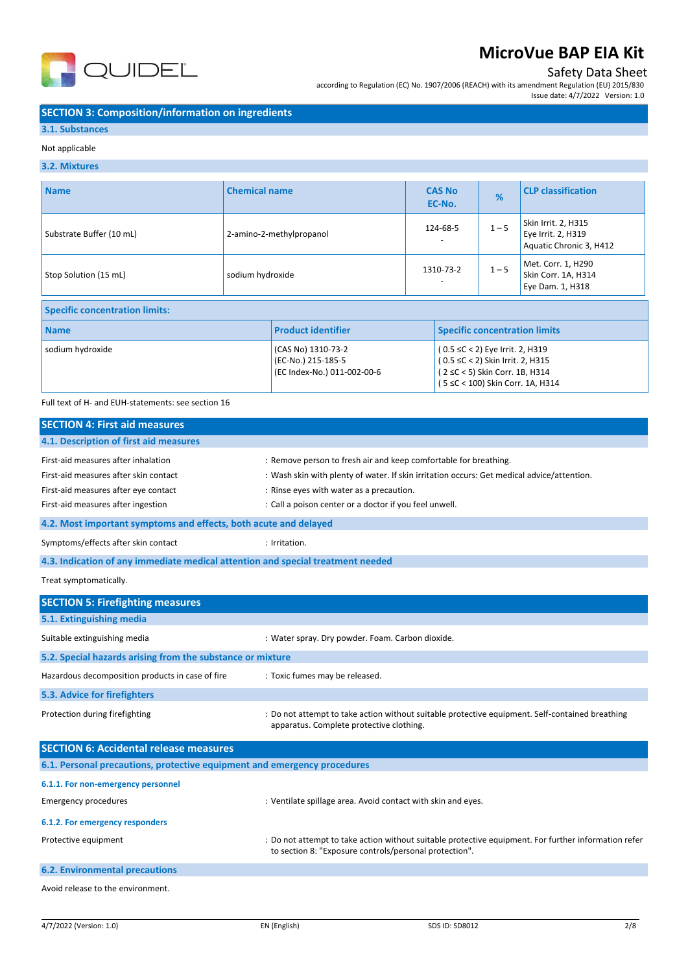

## Safety Data Sheet

Issue date: 4/7/2022 Version: 1.0

according to Regulation (EC) No. 1907/2006 (REACH) with its amendment Regulation (EU) 2015/830

### **SECTION 3: Composition/information on ingredients**

### **3.1. Substances**

#### Not applicable

### **3.2. Mixtures**

| <b>Name</b>                           | <b>Chemical name</b>     |                                                                         | <b>CAS No</b><br>EC-No. |                                                                                                       | %       | <b>CLP classification</b>                                            |
|---------------------------------------|--------------------------|-------------------------------------------------------------------------|-------------------------|-------------------------------------------------------------------------------------------------------|---------|----------------------------------------------------------------------|
| Substrate Buffer (10 mL)              | 2-amino-2-methylpropanol |                                                                         | 124-68-5                |                                                                                                       | $1 - 5$ | Skin Irrit. 2, H315<br>Eye Irrit. 2, H319<br>Aquatic Chronic 3, H412 |
| Stop Solution (15 mL)                 |                          | sodium hydroxide                                                        |                         | 1310-73-2                                                                                             |         | Met. Corr. 1, H290<br>Skin Corr. 1A, H314<br>Eye Dam. 1, H318        |
| <b>Specific concentration limits:</b> |                          |                                                                         |                         |                                                                                                       |         |                                                                      |
| <b>Name</b>                           |                          | <b>Product identifier</b>                                               |                         | <b>Specific concentration limits</b>                                                                  |         |                                                                      |
| sodium hydroxide                      |                          | (CAS No) 1310-73-2<br>(EC-No.) 215-185-5<br>(EC Index-No.) 011-002-00-6 |                         | (0.5 ≤C < 2) Eye Irrit. 2, H319<br>(0.5 ≤C < 2) Skin Irrit. 2, H315<br>(2 ≤C < 5) Skin Corr. 1B, H314 |         | (5 ≤C < 100) Skin Corr. 1A, H314                                     |

#### Full text of H- and EUH-statements: see section 16

| <b>SECTION 4: First aid measures</b>                             |                                                                                            |  |  |  |
|------------------------------------------------------------------|--------------------------------------------------------------------------------------------|--|--|--|
| 4.1. Description of first aid measures                           |                                                                                            |  |  |  |
| First-aid measures after inhalation                              | : Remove person to fresh air and keep comfortable for breathing.                           |  |  |  |
| First-aid measures after skin contact                            | : Wash skin with plenty of water. If skin irritation occurs: Get medical advice/attention. |  |  |  |
| First-aid measures after eye contact                             | : Rinse eyes with water as a precaution.                                                   |  |  |  |
| First-aid measures after ingestion                               | : Call a poison center or a doctor if you feel unwell.                                     |  |  |  |
| 4.2. Most important symptoms and effects, both acute and delayed |                                                                                            |  |  |  |

Symptoms/effects after skin contact in the set of the symptoms of the symptoms of the symptoms of the symptoms of the symptoms of the symptoms of the symptoms of the symptoms of the symptoms of the symptoms of the symptoms

### **4.3. Indication of any immediate medical attention and special treatment needed**

Treat symptomatically.

| <b>SECTION 5: Firefighting measures</b>                                  |                                                                                                                                                                |
|--------------------------------------------------------------------------|----------------------------------------------------------------------------------------------------------------------------------------------------------------|
| 5.1. Extinguishing media                                                 |                                                                                                                                                                |
| Suitable extinguishing media                                             | : Water spray. Dry powder. Foam. Carbon dioxide.                                                                                                               |
| 5.2. Special hazards arising from the substance or mixture               |                                                                                                                                                                |
| Hazardous decomposition products in case of fire                         | : Toxic fumes may be released.                                                                                                                                 |
| 5.3. Advice for firefighters                                             |                                                                                                                                                                |
| Protection during firefighting                                           | : Do not attempt to take action without suitable protective equipment. Self-contained breathing<br>apparatus. Complete protective clothing.                    |
| <b>SECTION 6: Accidental release measures</b>                            |                                                                                                                                                                |
| 6.1. Personal precautions, protective equipment and emergency procedures |                                                                                                                                                                |
| 6.1.1. For non-emergency personnel                                       |                                                                                                                                                                |
| <b>Emergency procedures</b>                                              | : Ventilate spillage area. Avoid contact with skin and eyes.                                                                                                   |
| 6.1.2. For emergency responders                                          |                                                                                                                                                                |
| Protective equipment                                                     | : Do not attempt to take action without suitable protective equipment. For further information refer<br>to section 8: "Exposure controls/personal protection". |
| <b>6.2. Environmental precautions</b>                                    |                                                                                                                                                                |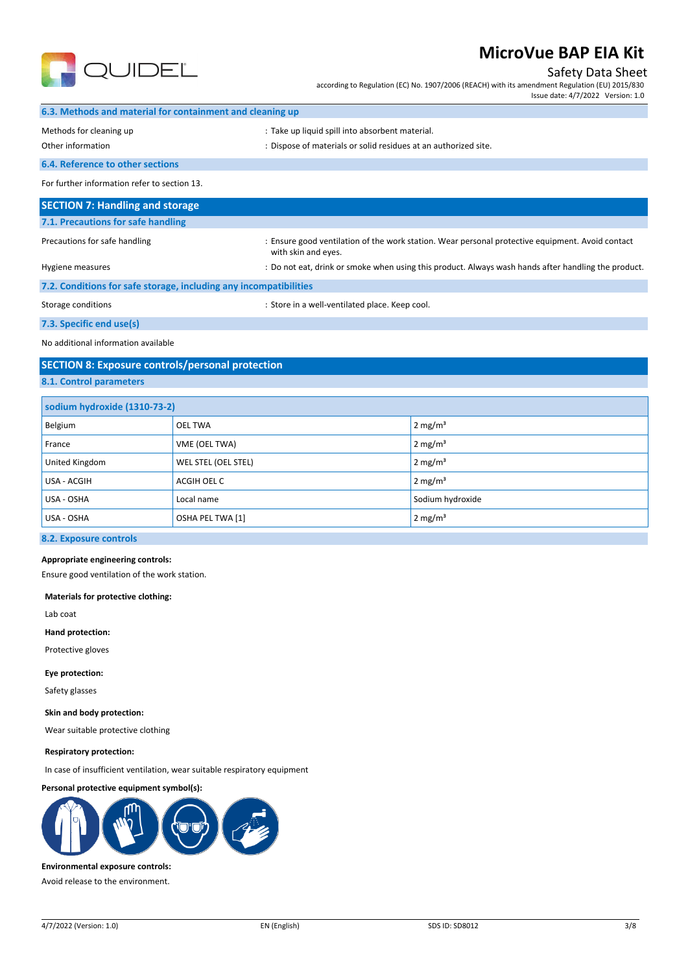

### Safety Data Sheet

according to Regulation (EC) No. 1907/2006 (REACH) with its amendment Regulation (EU) 2015/830 Issue date: 4/7/2022 Version: 1.0

|  |  |  |  |  | 6.3. Methods and material for containment and cleaning up |  |  |
|--|--|--|--|--|-----------------------------------------------------------|--|--|
|--|--|--|--|--|-----------------------------------------------------------|--|--|

Methods for cleaning up example and the state up liquid spill into absorbent material.

Other information  $\cdot$  Dispose of materials or solid residues at an authorized site.

**6.4. Reference to other sections**

For further information refer to section 13.

| <b>SECTION 7: Handling and storage</b>                            |                                                                                                                       |
|-------------------------------------------------------------------|-----------------------------------------------------------------------------------------------------------------------|
| 7.1. Precautions for safe handling                                |                                                                                                                       |
| Precautions for safe handling                                     | Ensure good ventilation of the work station. Wear personal protective equipment. Avoid contact<br>with skin and eyes. |
| Hygiene measures                                                  | : Do not eat, drink or smoke when using this product. Always wash hands after handling the product.                   |
| 7.2. Conditions for safe storage, including any incompatibilities |                                                                                                                       |

Storage conditions **Storage conditions** : Store in a well-ventilated place. Keep cool.

**7.3. Specific end use(s)**

No additional information available

## **SECTION 8: Exposure controls/personal protection**

**8.1. Control parameters**

| sodium hydroxide (1310-73-2) |                     |                     |
|------------------------------|---------------------|---------------------|
| Belgium                      | <b>OEL TWA</b>      | 2 mg/m <sup>3</sup> |
| France                       | VME (OEL TWA)       | $2 \text{ mg/m}^3$  |
| United Kingdom               | WEL STEL (OEL STEL) | 2 mg/m <sup>3</sup> |
| USA - ACGIH                  | ACGIH OEL C         | $2 \text{ mg/m}^3$  |
| USA - OSHA                   | Local name          | Sodium hydroxide    |
| USA - OSHA                   | OSHA PEL TWA [1]    | $2 \text{ mg/m}^3$  |

### **8.2. Exposure controls**

#### **Appropriate engineering controls:**

Ensure good ventilation of the work station.

**Materials for protective clothing:**

Lab coat

**Hand protection:**

Protective gloves

**Eye protection:**

Safety glasses

#### **Skin and body protection:**

Wear suitable protective clothing

#### **Respiratory protection:**

In case of insufficient ventilation, wear suitable respiratory equipment

### **Personal protective equipment symbol(s):**



**Environmental exposure controls:**

Avoid release to the environment.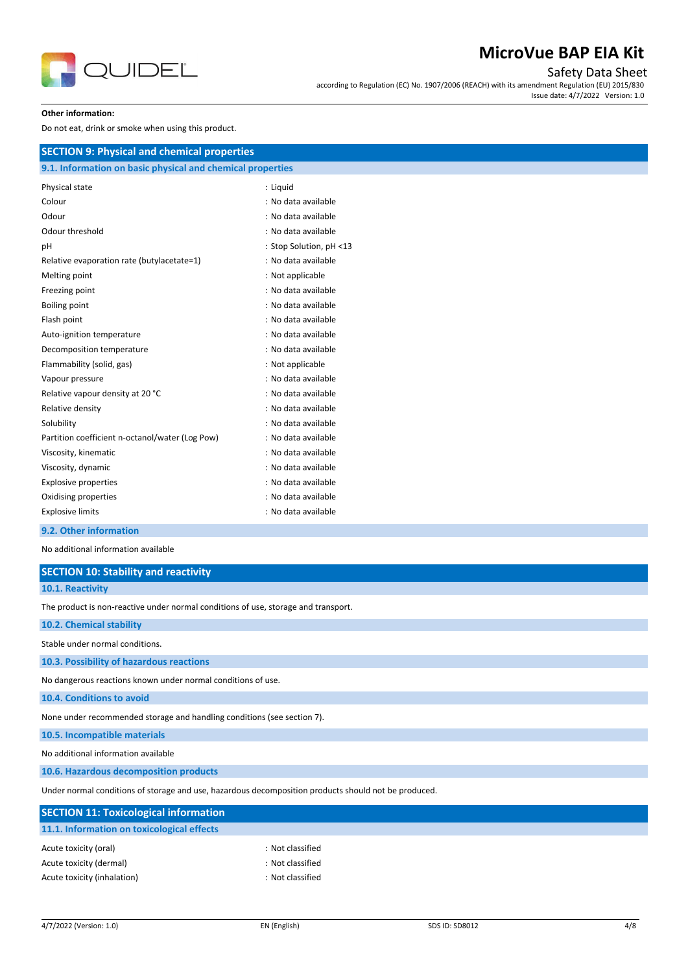

Safety Data Sheet

according to Regulation (EC) No. 1907/2006 (REACH) with its amendment Regulation (EU) 2015/830 Issue date: 4/7/2022 Version: 1.0

#### **Other information:**

Do not eat, drink or smoke when using this product.

| Physical state                                  | : Liquid                |
|-------------------------------------------------|-------------------------|
| Colour                                          | : No data available     |
| Odour                                           | : No data available     |
| Odour threshold                                 | : No data available     |
| pH                                              | : Stop Solution, pH <13 |
| Relative evaporation rate (butylacetate=1)      | : No data available     |
| Melting point                                   | : Not applicable        |
| Freezing point                                  | : No data available     |
| Boiling point                                   | : No data available     |
| Flash point                                     | : No data available     |
| Auto-ignition temperature                       | : No data available     |
| Decomposition temperature                       | : No data available     |
| Flammability (solid, gas)                       | : Not applicable        |
| Vapour pressure                                 | : No data available     |
| Relative vapour density at 20 °C                | : No data available     |
| Relative density                                | : No data available     |
| Solubility                                      | : No data available     |
| Partition coefficient n-octanol/water (Log Pow) | : No data available     |
| Viscosity, kinematic                            | : No data available     |
| Viscosity, dynamic                              | : No data available     |
| <b>Explosive properties</b>                     | : No data available     |
| Oxidising properties                            | : No data available     |
| <b>Explosive limits</b>                         | : No data available     |

### **9.2. Other information**

No additional information available

| No additional information available                                                |                                                                                                      |
|------------------------------------------------------------------------------------|------------------------------------------------------------------------------------------------------|
| <b>SECTION 10: Stability and reactivity</b>                                        |                                                                                                      |
| 10.1. Reactivity                                                                   |                                                                                                      |
| The product is non-reactive under normal conditions of use, storage and transport. |                                                                                                      |
| 10.2. Chemical stability                                                           |                                                                                                      |
| Stable under normal conditions.                                                    |                                                                                                      |
| 10.3. Possibility of hazardous reactions                                           |                                                                                                      |
| No dangerous reactions known under normal conditions of use.                       |                                                                                                      |
| 10.4. Conditions to avoid                                                          |                                                                                                      |
| None under recommended storage and handling conditions (see section 7).            |                                                                                                      |
| 10.5. Incompatible materials                                                       |                                                                                                      |
| No additional information available                                                |                                                                                                      |
| 10.6. Hazardous decomposition products                                             |                                                                                                      |
|                                                                                    | Under normal conditions of storage and use, hazardous decomposition products should not be produced. |
| <b>SECTION 11: Toxicological information</b>                                       |                                                                                                      |
| 11.1. Information on toxicological effects                                         |                                                                                                      |
| Acute toxicity (oral)                                                              | : Not classified                                                                                     |
| Acute toxicity (dermal)                                                            | : Not classified                                                                                     |

Acute toxicity (inhalation) in the set of the set of the set of the set of the set of the set of the set of the set of the set of the set of the set of the set of the set of the set of the set of the set of the set of the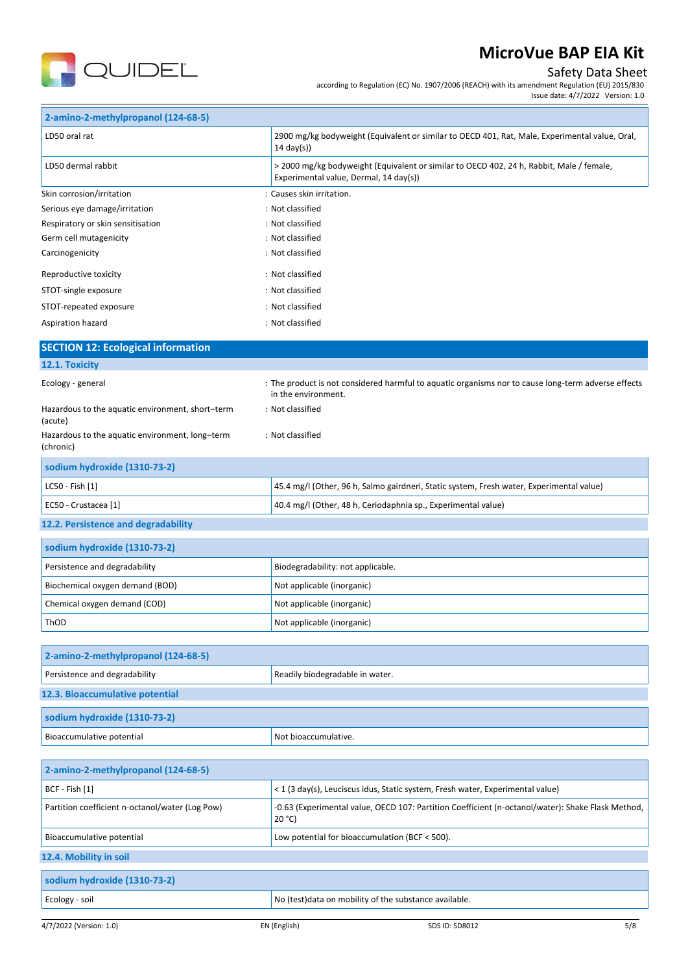

## Safety Data Sheet

according to Regulation (EC) No. 1907/2006 (REACH) with its amendment Regulation (EU) 2015/830

Issue date: 4/7/2022 Version: 1.0

| 2-amino-2-methylpropanol (124-68-5)                                  |                                                                                                                                    |
|----------------------------------------------------------------------|------------------------------------------------------------------------------------------------------------------------------------|
| LD50 oral rat                                                        | 2900 mg/kg bodyweight (Equivalent or similar to OECD 401, Rat, Male, Experimental value, Oral,<br>$14 \text{ day(s)}$              |
| LD50 dermal rabbit                                                   | > 2000 mg/kg bodyweight (Equivalent or similar to OECD 402, 24 h, Rabbit, Male / female,<br>Experimental value, Dermal, 14 day(s)) |
| Skin corrosion/irritation                                            | : Causes skin irritation.                                                                                                          |
| Serious eye damage/irritation                                        | : Not classified                                                                                                                   |
| Respiratory or skin sensitisation                                    | : Not classified                                                                                                                   |
| Germ cell mutagenicity                                               | : Not classified                                                                                                                   |
| Carcinogenicity                                                      | : Not classified                                                                                                                   |
| Reproductive toxicity                                                | : Not classified                                                                                                                   |
| STOT-single exposure                                                 | : Not classified                                                                                                                   |
| STOT-repeated exposure                                               | : Not classified                                                                                                                   |
| Aspiration hazard                                                    | : Not classified                                                                                                                   |
| <b>SECTION 12: Ecological information</b>                            |                                                                                                                                    |
| 12.1. Toxicity                                                       |                                                                                                                                    |
| Ecology - general                                                    | : The product is not considered harmful to aquatic organisms nor to cause long-term adverse effects<br>in the environment.         |
| Hazardous to the aquatic environment, short-term<br>(acute)          | : Not classified                                                                                                                   |
| Hazardous to the aquatic environment, long-term<br>(chronic)         | : Not classified                                                                                                                   |
| sodium hydroxide (1310-73-2)                                         |                                                                                                                                    |
| LC50 - Fish [1]                                                      | 45.4 mg/l (Other, 96 h, Salmo gairdneri, Static system, Fresh water, Experimental value)                                           |
| EC50 - Crustacea [1]                                                 | 40.4 mg/l (Other, 48 h, Ceriodaphnia sp., Experimental value)                                                                      |
| 12.2. Persistence and degradability                                  |                                                                                                                                    |
| sodium hydroxide (1310-73-2)                                         |                                                                                                                                    |
| Persistence and degradability                                        | Biodegradability: not applicable.                                                                                                  |
| Biochemical oxygen demand (BOD)                                      | Not applicable (inorganic)                                                                                                         |
| Chemical oxygen demand (COD)                                         | Not applicable (inorganic)                                                                                                         |
| ThOD                                                                 | Not applicable (inorganic)                                                                                                         |
|                                                                      |                                                                                                                                    |
| 2-amino-2-methylpropanol (124-68-5)<br>Persistence and degradability |                                                                                                                                    |
| 12.3. Bioaccumulative potential                                      | Readily biodegradable in water.                                                                                                    |
|                                                                      |                                                                                                                                    |
| sodium hydroxide (1310-73-2)                                         |                                                                                                                                    |
| Bioaccumulative potential                                            | Not bioaccumulative.                                                                                                               |
| 2-amino-2-methylpropanol (124-68-5)                                  |                                                                                                                                    |
| BCF - Fish [1]                                                       | < 1 (3 day(s), Leuciscus idus, Static system, Fresh water, Experimental value)                                                     |
| Partition coefficient n-octanol/water (Log Pow)                      | -0.63 (Experimental value, OECD 107: Partition Coefficient (n-octanol/water): Shake Flask Method,<br>20 °C)                        |
| Bioaccumulative potential                                            | Low potential for bioaccumulation (BCF < 500).                                                                                     |

**12.4. Mobility in soil**

| No (test) data on mobility of the substance available.<br>Ecology - soil |  |
|--------------------------------------------------------------------------|--|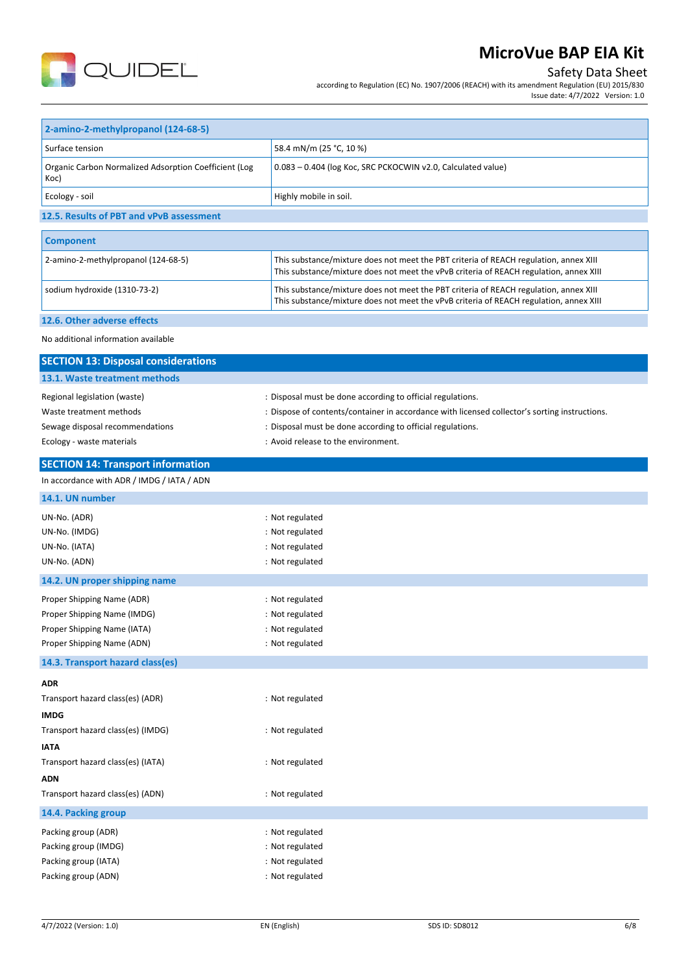

## Safety Data Sheet

according to Regulation (EC) No. 1907/2006 (REACH) with its amendment Regulation (EU) 2015/830 Issue date: 4/7/2022 Version: 1.0

| 2-amino-2-methylpropanol (124-68-5)                           |                                                                                                                                                                                 |  |
|---------------------------------------------------------------|---------------------------------------------------------------------------------------------------------------------------------------------------------------------------------|--|
| Surface tension                                               | 58.4 mN/m (25 °C, 10 %)                                                                                                                                                         |  |
| Organic Carbon Normalized Adsorption Coefficient (Log<br>Koc) | 0.083 - 0.404 (log Koc, SRC PCKOCWIN v2.0, Calculated value)                                                                                                                    |  |
| Ecology - soil                                                | Highly mobile in soil.                                                                                                                                                          |  |
| 12.5. Results of PBT and vPvB assessment                      |                                                                                                                                                                                 |  |
|                                                               |                                                                                                                                                                                 |  |
| <b>Component</b>                                              |                                                                                                                                                                                 |  |
| 2-amino-2-methylpropanol (124-68-5)                           | This substance/mixture does not meet the PBT criteria of REACH regulation, annex XIII<br>This substance/mixture does not meet the vPvB criteria of REACH regulation, annex XIII |  |
| sodium hydroxide (1310-73-2)                                  | This substance/mixture does not meet the PBT criteria of REACH regulation, annex XIII<br>This substance/mixture does not meet the vPvB criteria of REACH regulation, annex XIII |  |
| 12.6. Other adverse effects                                   |                                                                                                                                                                                 |  |
| No additional information available                           |                                                                                                                                                                                 |  |
| <b>SECTION 13: Disposal considerations</b>                    |                                                                                                                                                                                 |  |
| 13.1. Waste treatment methods                                 |                                                                                                                                                                                 |  |
| Regional legislation (waste)                                  | : Disposal must be done according to official regulations.                                                                                                                      |  |
| Waste treatment methods                                       | : Dispose of contents/container in accordance with licensed collector's sorting instructions.                                                                                   |  |
| Sewage disposal recommendations                               | : Disposal must be done according to official regulations.                                                                                                                      |  |
| Ecology - waste materials                                     | : Avoid release to the environment.                                                                                                                                             |  |
| <b>SECTION 14: Transport information</b>                      |                                                                                                                                                                                 |  |
| In accordance with ADR / IMDG / IATA / ADN                    |                                                                                                                                                                                 |  |
| 14.1. UN number                                               |                                                                                                                                                                                 |  |
| UN-No. (ADR)                                                  | : Not regulated                                                                                                                                                                 |  |
| UN-No. (IMDG)                                                 | : Not regulated                                                                                                                                                                 |  |
| UN-No. (IATA)                                                 | : Not regulated                                                                                                                                                                 |  |
| UN-No. (ADN)                                                  | : Not regulated                                                                                                                                                                 |  |
| 14.2. UN proper shipping name                                 |                                                                                                                                                                                 |  |
| Proper Shipping Name (ADR)                                    | : Not regulated                                                                                                                                                                 |  |
| Proper Shipping Name (IMDG)                                   | : Not regulated                                                                                                                                                                 |  |
| Proper Shipping Name (IATA)                                   | : Not regulated                                                                                                                                                                 |  |
| Proper Shipping Name (ADN)                                    | : Not regulated                                                                                                                                                                 |  |
| 14.3. Transport hazard class(es)                              |                                                                                                                                                                                 |  |
| ADR                                                           |                                                                                                                                                                                 |  |
| Transport hazard class(es) (ADR)                              | : Not regulated                                                                                                                                                                 |  |
| <b>IMDG</b>                                                   |                                                                                                                                                                                 |  |
| Transport hazard class(es) (IMDG)                             | : Not regulated                                                                                                                                                                 |  |
| ΙΑΤΑ                                                          |                                                                                                                                                                                 |  |
| Transport hazard class(es) (IATA)                             | : Not regulated                                                                                                                                                                 |  |
| ADN                                                           |                                                                                                                                                                                 |  |
| Transport hazard class(es) (ADN)                              | : Not regulated                                                                                                                                                                 |  |
| 14.4. Packing group                                           |                                                                                                                                                                                 |  |
| Packing group (ADR)                                           | : Not regulated                                                                                                                                                                 |  |
| Packing group (IMDG)                                          | : Not regulated                                                                                                                                                                 |  |
| Packing group (IATA)                                          | : Not regulated                                                                                                                                                                 |  |
| Packing group (ADN)                                           | : Not regulated                                                                                                                                                                 |  |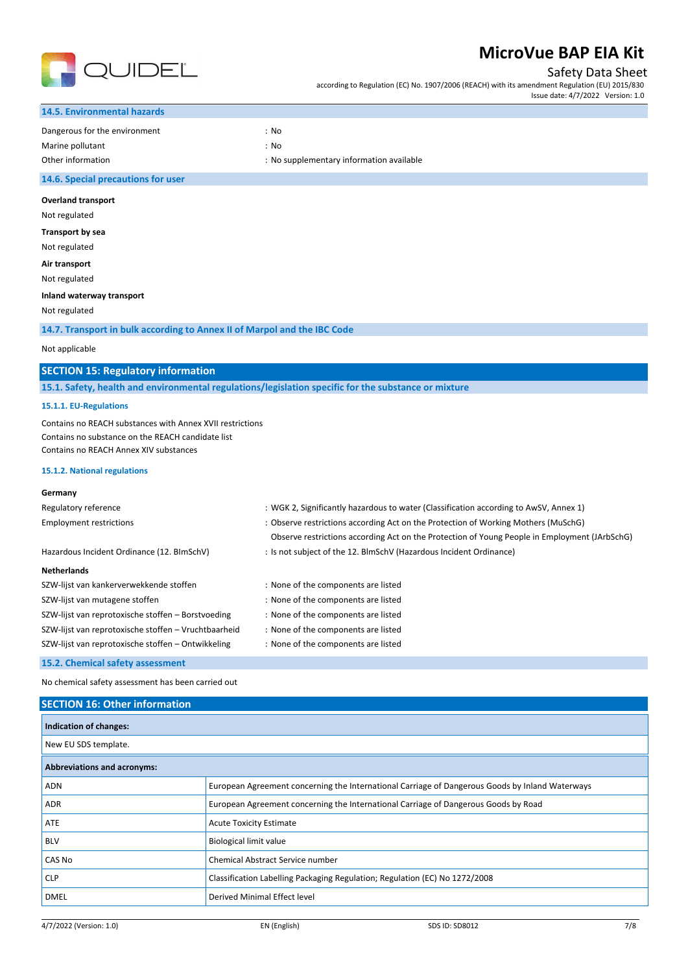

Safety Data Sheet

according to Regulation (EC) No. 1907/2006 (REACH) with its amendment Regulation (EU) 2015/830 Issue date: 4/7/2022 Version: 1.0

| <b>14.5. Environmental hazards</b> |                                          |
|------------------------------------|------------------------------------------|
| Dangerous for the environment      | : No                                     |
| Marine pollutant                   | : No                                     |
| Other information                  | : No supplementary information available |
| 14.6. Special precautions for user |                                          |
| <b>Overland transport</b>          |                                          |
| Not regulated                      |                                          |
| Transport by sea                   |                                          |
| Not regulated                      |                                          |

**Air transport**

Not regulated

### **Inland waterway transport**

Not regulated

### **14.7. Transport in bulk according to Annex II of Marpol and the IBC Code**

### Not applicable

### **SECTION 15: Regulatory information**

**15.1. Safety, health and environmental regulations/legislation specific for the substance or mixture**

#### **15.1.1. EU-Regulations**

Contains no REACH substances with Annex XVII restrictions Contains no substance on the REACH candidate list Contains no REACH Annex XIV substances

#### **15.1.2. National regulations**

### **Germany**

| Regulatory reference                                 | : WGK 2, Significantly hazardous to water (Classification according to AwSV, Annex 1)         |
|------------------------------------------------------|-----------------------------------------------------------------------------------------------|
| <b>Employment restrictions</b>                       | : Observe restrictions according Act on the Protection of Working Mothers (MuSchG)            |
|                                                      | Observe restrictions according Act on the Protection of Young People in Employment (JArbSchG) |
| Hazardous Incident Ordinance (12. BImSchV)           | : Is not subject of the 12. BlmSchV (Hazardous Incident Ordinance)                            |
| <b>Netherlands</b>                                   |                                                                                               |
| SZW-lijst van kankerverwekkende stoffen              | : None of the components are listed                                                           |
| SZW-lijst van mutagene stoffen                       | : None of the components are listed                                                           |
| SZW-lijst van reprotoxische stoffen - Borstvoeding   | : None of the components are listed                                                           |
| SZW-lijst van reprotoxische stoffen - Vruchtbaarheid | : None of the components are listed                                                           |
| SZW-lijst van reprotoxische stoffen – Ontwikkeling   | : None of the components are listed                                                           |

### **15.2. Chemical safety assessment**

No chemical safety assessment has been carried out

# 4/7/2022 (Version: 1.0) EN (English) SDS ID: SD8012 7/8 **SECTION 16: Other information Indication of changes:** New EU SDS template. **Abbreviations and acronyms:** ADN European Agreement concerning the International Carriage of Dangerous Goods by Inland Waterways ADR European Agreement concerning the International Carriage of Dangerous Goods by Road ATE ATE Acute Toxicity Estimate BLV Biological limit value CAS No Chemical Abstract Service number CLP Classification Labelling Packaging Regulation; Regulation (EC) No 1272/2008 DMEL DERIVED NET DERIVED NET DETERMINION ON A DETERMINION OF DETAILS